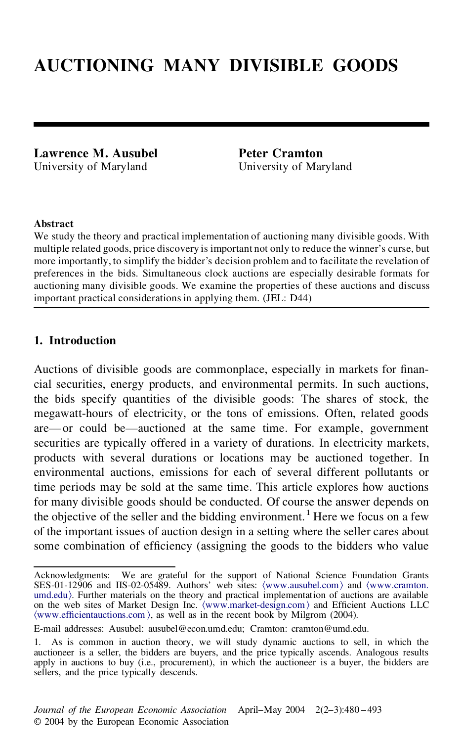# **AUCTIONING MANY DIVISIBLE GOODS**

**Lawrence M. Ausubel** University of Maryland

**Peter Cramton** University of Maryland

#### **Abstract**

We study the theory and practical implementation of auctioning many divisible goods. With multiple related goods, price discovery is important not only to reduce the winner's curse, but more importantly, to simplify the bidder's decision problem and to facilitate the revelation of preferences in the bids. Simultaneous clock auctions are especially desirable formats for auctioning many divisible goods. We examine the properties of these auctions and discuss important practical considerations in applying them. (JEL: D44)

### **1. Introduction**

Auctions of divisible goods are commonplace, especially in markets for financial securities, energy products, and environmental permits. In such auctions, the bids specify quantities of the divisible goods: The shares of stock, the megawatt-hours of electricity, or the tons of emissions. Often, related goods are—or could be—auctioned at the same time. For example, government securities are typically offered in a variety of durations. In electricity markets, products with several durations or locations may be auctioned together. In environmental auctions, emissions for each of several different pollutants or time periods may be sold at the same time. This article explores how auctions for many divisible goods should be conducted. Of course the answer depends on the objective of the seller and the bidding environment.<sup>1</sup> Here we focus on a few of the important issues of auction design in a setting where the seller cares about some combination of efficiency (assigning the goods to the bidders who value

Acknowledgments: We are grateful for the support of National Science Foundation Grants SES-01-12906 and IIS-02-05489. Authors' web sites:  $\langle www.ausubel.com \rangle$  $\langle www.ausubel.com \rangle$  $\langle www.ausubel.com \rangle$  and  $\langle www.cramton.$  $\langle www.cramton.$ [umd.edu](http://www.cramton.umd.edu)). Further materials on the theory and practical implementation of auctions are available on the web sites of Market Design Inc.  $\langle www.market-design.com \rangle$  $\langle www.market-design.com \rangle$  $\langle www.market-design.com \rangle$  and Efficient Auctions LLC  $\langle$ www.effi[cientauctions.com](http://www.efficientauctions.com)  $\rangle$ , as well as in the recent book by Milgrom (2004).

E-mail addresses: Ausubel: ausubel@econ.umd.edu; Cramton: cramton@umd.edu.

<sup>1.</sup> As is common in auction theory, we will study dynamic auctions to sell, in which the auctioneer is a seller, the bidders are buyers, and the price typically ascends. Analogous results apply in auctions to buy (i.e., procurement), in which the auctioneer is a buyer, the bidders are sellers, and the price typically descends.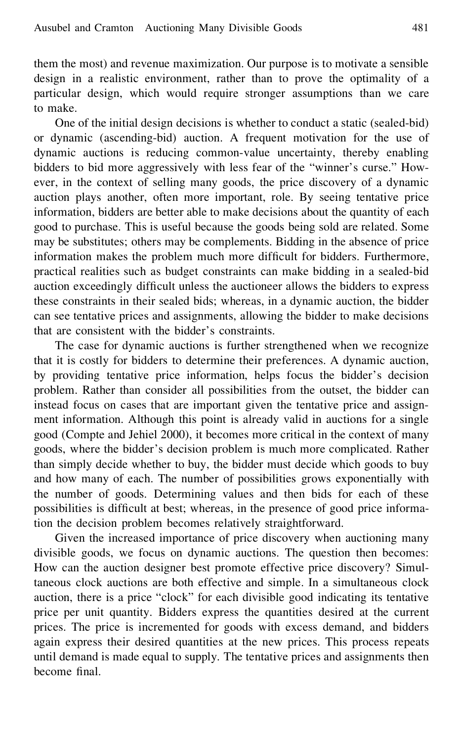them the most) and revenue maximization. Our purpose is to motivate a sensible design in a realistic environment, rather than to prove the optimality of a particular design, which would require stronger assumptions than we care to make.

One of the initial design decisions is whether to conduct a static (sealed-bid) or dynamic (ascending-bid) auction. A frequent motivation for the use of dynamic auctions is reducing common-value uncertainty, thereby enabling bidders to bid more aggressively with less fear of the "winner's curse." However, in the context of selling many goods, the price discovery of a dynamic auction plays another, often more important, role. By seeing tentative price information, bidders are better able to make decisions about the quantity of each good to purchase. This is useful because the goods being sold are related. Some may be substitutes; others may be complements. Bidding in the absence of price information makes the problem much more difficult for bidders. Furthermore, practical realities such as budget constraints can make bidding in a sealed-bid auction exceedingly difficult unless the auctioneer allows the bidders to express these constraints in their sealed bids; whereas, in a dynamic auction, the bidder can see tentative prices and assignments, allowing the bidder to make decisions that are consistent with the bidder's constraints.

The case for dynamic auctions is further strengthened when we recognize that it is costly for bidders to determine their preferences. A dynamic auction, by providing tentative price information, helps focus the bidder's decision problem. Rather than consider all possibilities from the outset, the bidder can instead focus on cases that are important given the tentative price and assignment information. Although this point is already valid in auctions for a single good (Compte and Jehiel 2000), it becomes more critical in the context of many goods, where the bidder's decision problem is much more complicated. Rather than simply decide whether to buy, the bidder must decide which goods to buy and how many of each. The number of possibilities grows exponentially with the number of goods. Determining values and then bids for each of these possibilities is difficult at best; whereas, in the presence of good price information the decision problem becomes relatively straightforward.

Given the increased importance of price discovery when auctioning many divisible goods, we focus on dynamic auctions. The question then becomes: How can the auction designer best promote effective price discovery? Simultaneous clock auctions are both effective and simple. In a simultaneous clock auction, there is a price "clock" for each divisible good indicating its tentative price per unit quantity. Bidders express the quantities desired at the current prices. The price is incremented for goods with excess demand, and bidders again express their desired quantities at the new prices. This process repeats until demand is made equal to supply. The tentative prices and assignments then become final.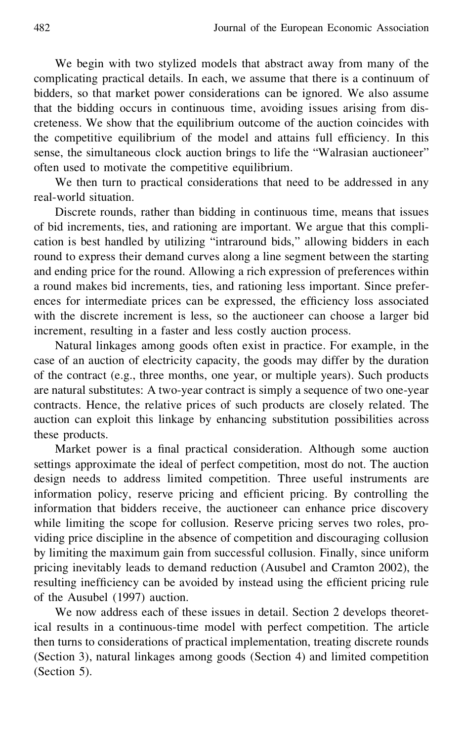We begin with two stylized models that abstract away from many of the complicating practical details. In each, we assume that there is a continuum of bidders, so that market power considerations can be ignored. We also assume that the bidding occurs in continuous time, avoiding issues arising from discreteness. We show that the equilibrium outcome of the auction coincides with the competitive equilibrium of the model and attains full efficiency. In this sense, the simultaneous clock auction brings to life the "Walrasian auctioneer" often used to motivate the competitive equilibrium.

We then turn to practical considerations that need to be addressed in any real-world situation.

Discrete rounds, rather than bidding in continuous time, means that issues of bid increments, ties, and rationing are important. We argue that this complication is best handled by utilizing "intraround bids," allowing bidders in each round to express their demand curves along a line segment between the starting and ending price for the round. Allowing a rich expression of preferences within a round makes bid increments, ties, and rationing less important. Since preferences for intermediate prices can be expressed, the efficiency loss associated with the discrete increment is less, so the auctioneer can choose a larger bid increment, resulting in a faster and less costly auction process.

Natural linkages among goods often exist in practice. For example, in the case of an auction of electricity capacity, the goods may differ by the duration of the contract (e.g., three months, one year, or multiple years). Such products are natural substitutes: A two-year contract is simply a sequence of two one-year contracts. Hence, the relative prices of such products are closely related. The auction can exploit this linkage by enhancing substitution possibilities across these products.

Market power is a final practical consideration. Although some auction settings approximate the ideal of perfect competition, most do not. The auction design needs to address limited competition. Three useful instruments are information policy, reserve pricing and efficient pricing. By controlling the information that bidders receive, the auctioneer can enhance price discovery while limiting the scope for collusion. Reserve pricing serves two roles, providing price discipline in the absence of competition and discouraging collusion by limiting the maximum gain from successful collusion. Finally, since uniform pricing inevitably leads to demand reduction (Ausubel and Cramton 2002), the resulting inefficiency can be avoided by instead using the efficient pricing rule of the Ausubel (1997) auction.

We now address each of these issues in detail. Section 2 develops theoretical results in a continuous-time model with perfect competition. The article then turns to considerations of practical implementation, treating discrete rounds (Section 3), natural linkages among goods (Section 4) and limited competition (Section 5).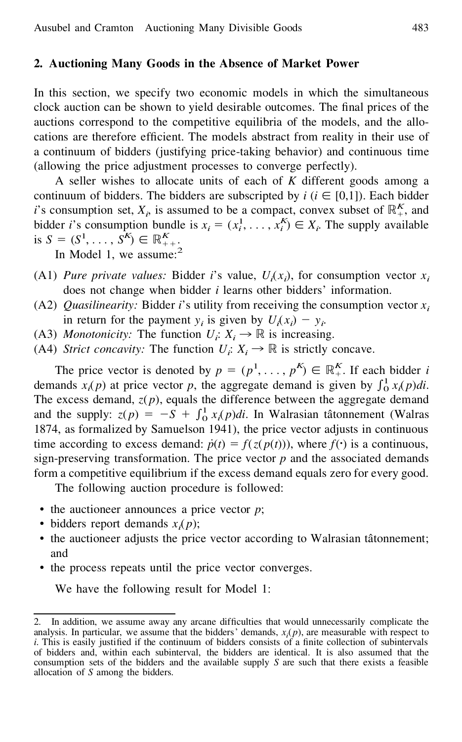#### **2. Auctioning Many Goods in the Absence of Market Power**

In this section, we specify two economic models in which the simultaneous clock auction can be shown to yield desirable outcomes. The final prices of the auctions correspond to the competitive equilibria of the models, and the allocations are therefore efficient. The models abstract from reality in their use of a continuum of bidders (justifying price-taking behavior) and continuous time (allowing the price adjustment processes to converge perfectly).

A seller wishes to allocate units of each of *K* different goods among a continuum of bidders. The bidders are subscripted by  $i$  ( $i \in [0,1]$ ). Each bidder *i*'s consumption set,  $X_i$ , is assumed to be a compact, convex subset of  $\mathbb{R}^K_+$ , and bidder *i*'s consumption bundle is  $x_i = (x_i^1, \ldots, x_i^K) \in X_i$ . The supply available is  $S = (S^1, \ldots, S^K) \in \mathbb{R}^K_{++}$ .

In Model 1, we assume: $2$ 

- (A1) *Pure private values:* Bidder *i*'s value,  $U_i(x_i)$ , for consumption vector  $x_i$ does not change when bidder *i* learns other bidders' information.
- (A2) *Quasilinearity:* Bidder *i*'s utility from receiving the consumption vector  $x_i$ in return for the payment  $y_i$  is given by  $U_i(x_i) - y_i$ .
- (A3) *Monotonicity:* The function  $U_i$ :  $X_i \to \mathbb{R}$  is increasing.
- (A4) *Strict concavity:* The function  $U_i: X_i \to \mathbb{R}$  is strictly concave.

The price vector is denoted by  $p = (p^1, \ldots, p^K) \in \mathbb{R}_+^K$ . If each bidder *i* demands  $x_i(p)$  at price vector *p*, the aggregate demand is given by  $\int_0^1 x_i(p)di$ . The excess demand,  $z(p)$ , equals the difference between the aggregate demand and the supply:  $z(p) = -S + \int_0^1 x_i(p)di$ . In Walrasian tâtonnement (Walras 1874, as formalized by Samuelson 1941), the price vector adjusts in continuous time according to excess demand:  $\dot{p}(t) = f(z(p(t)))$ , where  $f(\cdot)$  is a continuous, sign-preserving transformation. The price vector  $p$  and the associated demands form a competitive equilibrium if the excess demand equals zero for every good.

The following auction procedure is followed:

- $\bullet$  the auctioneer announces a price vector *p*;
- $\bullet$  bidders report demands  $x_i(p)$ ;
- the auctioneer adjusts the price vector according to Walrasian tâtonnement; and
- the process repeats until the price vector converges.

We have the following result for Model 1:

<sup>2.</sup> In addition, we assume away any arcane difficulties that would unnecessarily complicate the analysis. In particular, we assume that the bidders' demands,  $x_i(p)$ , are measurable with respect to *i*. This is easily justified if the continuum of bidders consists of a finite collection of subintervals of bidders and, within each subinterval, the bidders are identical. It is also assumed that the consumption sets of the bidders and the available supply *S* are such that there exists a feasible allocation of *S* among the bidders.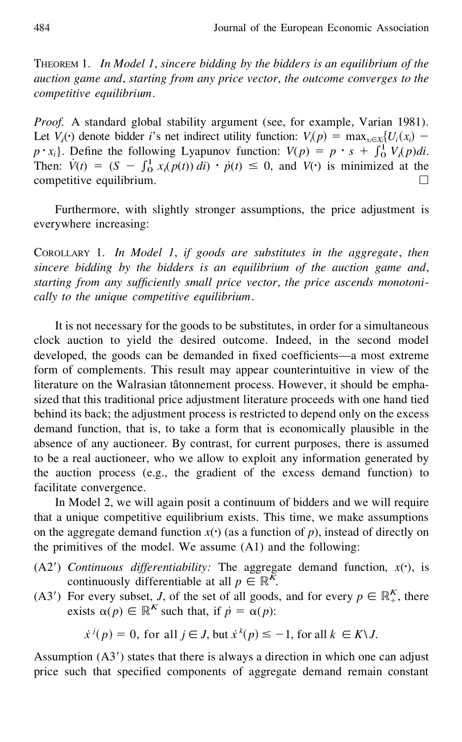THEOREM 1. *In Model 1*, *sincere bidding by the bidders is an equilibrium of the auction game and*, *starting from any price vector*, *the outcome converges to the competitive equilibrium*.

*Proof.* A standard global stability argument (see, for example, Varian 1981). Let  $V_i(\cdot)$  denote bidder *i*'s net indirect utility function:  $V_i(p) = \max_{x \in X_i} \{U_i(x_i)$  $p \cdot x_i$ . Define the following Lyapunov function:  $V(p) = p \cdot s + \int_0^1 V_i(p)di$ . Then:  $\dot{V}(t) = (S - \int_0^1 x_i(p(t)) dt) \cdot \dot{p}(t) \le 0$ , and  $V(\cdot)$  is minimized at the competitive equilibrium.  $\Box$ 

Furthermore, with slightly stronger assumptions, the price adjustment is everywhere increasing:

COROLLARY 1. *In Model 1*, *if goods are substitutes in the aggregate*, *then sincere bidding by the bidders is an equilibrium of the auction game and*, *starting from any suf ciently small price vector*, *the price ascends monotoni cally to the unique competitive equilibrium*.

It is not necessary for the goods to be substitutes, in order for a simultaneous clock auction to yield the desired outcome. Indeed, in the second model developed, the goods can be demanded in fixed coefficients—a most extreme form of complements. This result may appear counterintuitive in view of the literature on the Walrasian tâtonnement process. However, it should be emphasized that this traditional price adjustment literature proceeds with one hand tied behind its back; the adjustment process is restricted to depend only on the excess demand function, that is, to take a form that is economically plausible in the absence of any auctioneer. By contrast, for current purposes, there is assumed to be a real auctioneer, who we allow to exploit any information generated by the auction process (e.g., the gradient of the excess demand function) to facilitate convergence.

In Model 2, we will again posit a continuum of bidders and we will require that a unique competitive equilibrium exists. This time, we make assumptions on the aggregate demand function  $x(\cdot)$  (as a function of *p*), instead of directly on the primitives of the model. We assume (A1) and the following:

- (A2') *Continuous differentiability:* The aggregate demand function,  $x(\cdot)$ , is continuously differentiable at all  $p \in \mathbb{R}^K$ .
- (A3') For every subset, *J*, of the set of all goods, and for every  $p \in \mathbb{R}^K_+$ , there exists  $\alpha(p) \in \mathbb{R}^K$  such that, if  $p = \alpha(p)$ :

$$
\dot{x}^j(p) = 0
$$
, for all  $j \in J$ , but  $\dot{x}^k(p) \le -1$ , for all  $k \in K \setminus J$ .

Assumption  $(A3')$  states that there is always a direction in which one can adjust price such that specified components of aggregate demand remain constant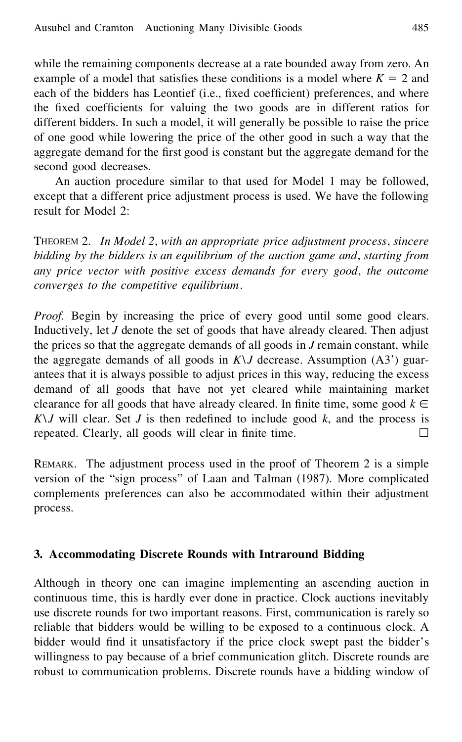while the remaining components decrease at a rate bounded away from zero. An example of a model that satisfies these conditions is a model where  $K = 2$  and each of the bidders has Leontief (i.e., fixed coefficient) preferences, and where the fixed coefficients for valuing the two goods are in different ratios for different bidders. In such a model, it will generally be possible to raise the price of one good while lowering the price of the other good in such a way that the aggregate demand for the first good is constant but the aggregate demand for the second good decreases.

An auction procedure similar to that used for Model 1 may be followed, except that a different price adjustment process is used. We have the following result for Model 2:

THEOREM 2. *In Model 2*, *with an appropriate price adjustment process*, *sincere bidding by the bidders is an equilibrium of the auction game and*, *starting from any price vector with positive excess demands for every good*, *the outcome converges to the competitive equilibrium*.

*Proof.* Begin by increasing the price of every good until some good clears. Inductively, let *J* denote the set of goods that have already cleared. Then adjust the prices so that the aggregate demands of all goods in *J* remain constant, while the aggregate demands of all goods in  $K\setminus J$  decrease. Assumption  $(A3')$  guarantees that it is always possible to adjust prices in this way, reducing the excess demand of all goods that have not yet cleared while maintaining market clearance for all goods that have already cleared. In finite time, some good  $k \in$  $K\setminus J$  will clear. Set *J* is then redefined to include good *k*, and the process is repeated. Clearly, all goods will clear in finite time.  $\Box$ 

REMARK. The adjustment process used in the proof of Theorem 2 is a simple version of the "sign process" of Laan and Talman (1987). More complicated complements preferences can also be accommodated within their adjustment process.

## **3. Accommodating Discrete Rounds with Intraround Bidding**

Although in theory one can imagine implementing an ascending auction in continuous time, this is hardly ever done in practice. Clock auctions inevitably use discrete rounds for two important reasons. First, communication is rarely so reliable that bidders would be willing to be exposed to a continuous clock. A bidder would find it unsatisfactory if the price clock swept past the bidder's willingness to pay because of a brief communication glitch. Discrete rounds are robust to communication problems. Discrete rounds have a bidding window of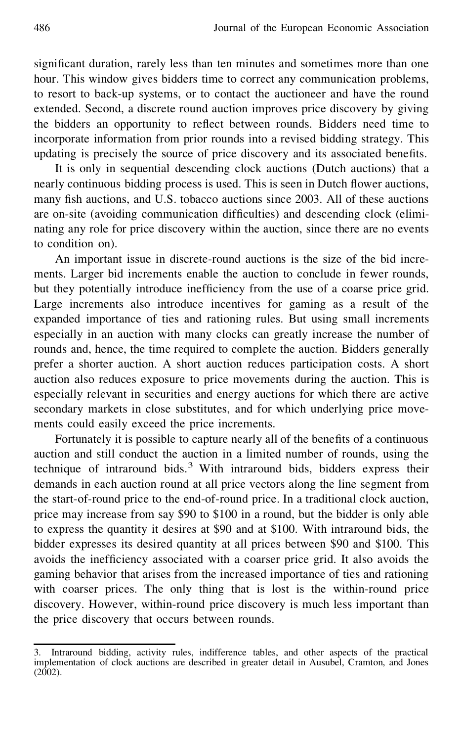significant duration, rarely less than ten minutes and sometimes more than one hour. This window gives bidders time to correct any communication problems, to resort to back-up systems, or to contact the auctioneer and have the round extended. Second, a discrete round auction improves price discovery by giving the bidders an opportunity to reflect between rounds. Bidders need time to incorporate information from prior rounds into a revised bidding strategy. This updating is precisely the source of price discovery and its associated benefits.

It is only in sequential descending clock auctions (Dutch auctions) that a nearly continuous bidding process is used. This is seen in Dutch flower auctions, many fish auctions, and U.S. tobacco auctions since 2003. All of these auctions are on-site (avoiding communication difficulties) and descending clock (eliminating any role for price discovery within the auction, since there are no events to condition on).

An important issue in discrete-round auctions is the size of the bid increments. Larger bid increments enable the auction to conclude in fewer rounds, but they potentially introduce inefficiency from the use of a coarse price grid. Large increments also introduce incentives for gaming as a result of the expanded importance of ties and rationing rules. But using small increments especially in an auction with many clocks can greatly increase the number of rounds and, hence, the time required to complete the auction. Bidders generally prefer a shorter auction. A short auction reduces participation costs. A short auction also reduces exposure to price movements during the auction. This is especially relevant in securities and energy auctions for which there are active secondary markets in close substitutes, and for which underlying price movements could easily exceed the price increments.

Fortunately it is possible to capture nearly all of the benefits of a continuous auction and still conduct the auction in a limited number of rounds, using the technique of intraround bids. $3$  With intraround bids, bidders express their demands in each auction round at all price vectors along the line segment from the start-of-round price to the end-of-round price. In a traditional clock auction, price may increase from say \$90 to \$100 in a round, but the bidder is only able to express the quantity it desires at \$90 and at \$100. With intraround bids, the bidder expresses its desired quantity at all prices between \$90 and \$100. This avoids the inefficiency associated with a coarser price grid. It also avoids the gaming behavior that arises from the increased importance of ties and rationing with coarser prices. The only thing that is lost is the within-round price discovery. However, within-round price discovery is much less important than the price discovery that occurs between rounds.

<sup>3.</sup> Intraround bidding, activity rules, indifference tables, and other aspects of the practical implementation of clock auctions are described in greater detail in Ausubel, Cramton, and Jones (2002).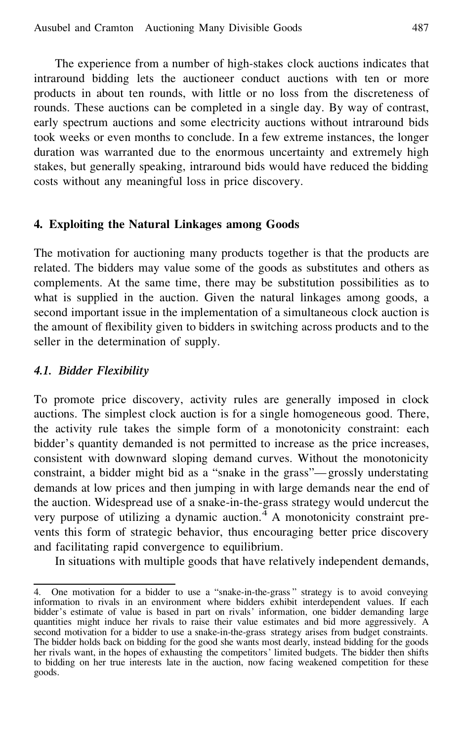The experience from a number of high-stakes clock auctions indicates that intraround bidding lets the auctioneer conduct auctions with ten or more products in about ten rounds, with little or no loss from the discreteness of rounds. These auctions can be completed in a single day. By way of contrast, early spectrum auctions and some electricity auctions without intraround bids took weeks or even months to conclude. In a few extreme instances, the longer duration was warranted due to the enormous uncertainty and extremely high stakes, but generally speaking, intraround bids would have reduced the bidding costs without any meaningful loss in price discovery.

## **4. Exploiting the Natural Linkages among Goods**

The motivation for auctioning many products together is that the products are related. The bidders may value some of the goods as substitutes and others as complements. At the same time, there may be substitution possibilities as to what is supplied in the auction. Given the natural linkages among goods, a second important issue in the implementation of a simultaneous clock auction is the amount of flexibility given to bidders in switching across products and to the seller in the determination of supply.

## *4.1. Bidder Flexibility*

To promote price discovery, activity rules are generally imposed in clock auctions. The simplest clock auction is for a single homogeneous good. There, the activity rule takes the simple form of a monotonicity constraint: each bidder's quantity demanded is not permitted to increase as the price increases, consistent with downward sloping demand curves. Without the monotonicity constraint, a bidder might bid as a "snake in the grass"—grossly understating demands at low prices and then jumping in with large demands near the end of the auction. Widespread use of a snake-in-the-grass strategy would undercut the very purpose of utilizing a dynamic auction.<sup>4</sup> A monotonicity constraint prevents this form of strategic behavior, thus encouraging better price discovery and facilitating rapid convergence to equilibrium.

In situations with multiple goods that have relatively independent demands,

<sup>4.</sup> One motivation for a bidder to use a "snake-in-the-grass " strategy is to avoid conveying information to rivals in an environment where bidders exhibit interdependent values. If each bidder's estimate of value is based in part on rivals' information, one bidder demanding large quantities might induce her rivals to raise their value estimates and bid more aggressively. A second motivation for a bidder to use a snake-in-the-grass strategy arises from budget constraints. The bidder holds back on bidding for the good she wants most dearly, instead bidding for the goods her rivals want, in the hopes of exhausting the competitors' limited budgets. The bidder then shifts to bidding on her true interests late in the auction, now facing weakened competition for these goods.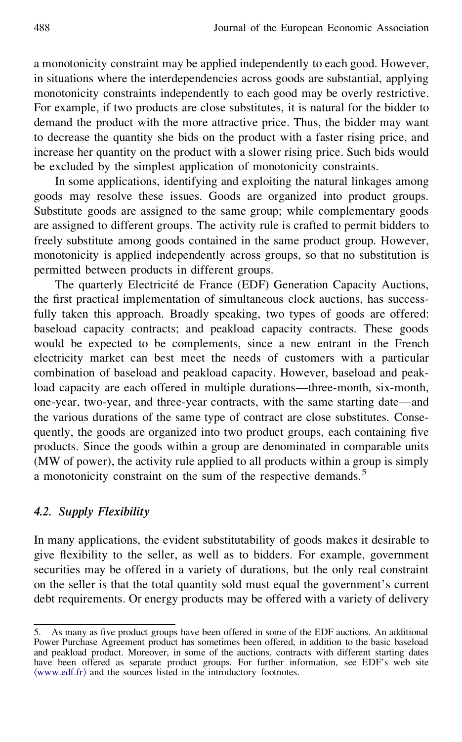a monotonicity constraint may be applied independently to each good. However, in situations where the interdependencies across goods are substantial, applying monotonicity constraints independently to each good may be overly restrictive. For example, if two products are close substitutes, it is natural for the bidder to demand the product with the more attractive price. Thus, the bidder may want to decrease the quantity she bids on the product with a faster rising price, and increase her quantity on the product with a slower rising price. Such bids would be excluded by the simplest application of monotonicity constraints.

In some applications, identifying and exploiting the natural linkages among goods may resolve these issues. Goods are organized into product groups. Substitute goods are assigned to the same group; while complementary goods are assigned to different groups. The activity rule is crafted to permit bidders to freely substitute among goods contained in the same product group. However, monotonicity is applied independently across groups, so that no substitution is permitted between products in different groups.

The quarterly Electricité de France (EDF) Generation Capacity Auctions, the first practical implementation of simultaneous clock auctions, has successfully taken this approach. Broadly speaking, two types of goods are offered: baseload capacity contracts; and peakload capacity contracts. These goods would be expected to be complements, since a new entrant in the French electricity market can best meet the needs of customers with a particular combination of baseload and peakload capacity. However, baseload and peakload capacity are each offered in multiple durations—three-month, six-month, one-year, two-year, and three-year contracts, with the same starting date—and the various durations of the same type of contract are close substitutes. Consequently, the goods are organized into two product groups, each containing five products. Since the goods within a group are denominated in comparable units (MW of power), the activity rule applied to all products within a group is simply a monotonicity constraint on the sum of the respective demands.<sup>5</sup>

## *4.2. Supply Flexibility*

In many applications, the evident substitutability of goods makes it desirable to give flexibility to the seller, as well as to bidders. For example, government securities may be offered in a variety of durations, but the only real constraint on the seller is that the total quantity sold must equal the government's current debt requirements. Or energy products may be offered with a variety of delivery

<sup>5.</sup> As many as five product groups have been offered in some of the EDF auctions. An additional Power Purchase Agreement product has sometimes been offered, in addition to the basic baseload and peakload product. Moreover, in some of the auctions, contracts with different starting dates have been offered as separate product groups. For further information, see EDF's web site  $\langle$ [www.edf.fr](http://www.edf.fr) $\rangle$  and the sources listed in the introductory footnotes.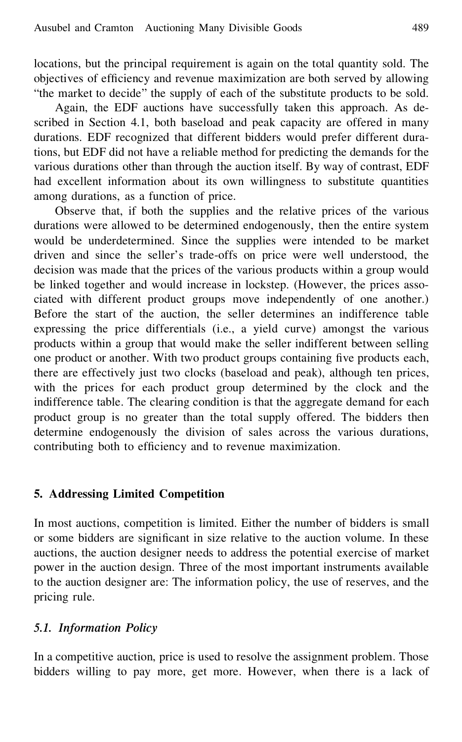locations, but the principal requirement is again on the total quantity sold. The objectives of efficiency and revenue maximization are both served by allowing "the market to decide" the supply of each of the substitute products to be sold.

Again, the EDF auctions have successfully taken this approach. As described in Section 4.1, both baseload and peak capacity are offered in many durations. EDF recognized that different bidders would prefer different durations, but EDF did not have a reliable method for predicting the demands for the various durations other than through the auction itself. By way of contrast, EDF had excellent information about its own willingness to substitute quantities among durations, as a function of price.

Observe that, if both the supplies and the relative prices of the various durations were allowed to be determined endogenously, then the entire system would be underdetermined. Since the supplies were intended to be market driven and since the seller's trade-offs on price were well understood, the decision was made that the prices of the various products within a group would be linked together and would increase in lockstep. (However, the prices associated with different product groups move independently of one another.) Before the start of the auction, the seller determines an indifference table expressing the price differentials (i.e., a yield curve) amongst the various products within a group that would make the seller indifferent between selling one product or another. With two product groups containing five products each, there are effectively just two clocks (baseload and peak), although ten prices, with the prices for each product group determined by the clock and the indifference table. The clearing condition is that the aggregate demand for each product group is no greater than the total supply offered. The bidders then determine endogenously the division of sales across the various durations, contributing both to efficiency and to revenue maximization.

## **5. Addressing Limited Competition**

In most auctions, competition is limited. Either the number of bidders is small or some bidders are significant in size relative to the auction volume. In these auctions, the auction designer needs to address the potential exercise of market power in the auction design. Three of the most important instruments available to the auction designer are: The information policy, the use of reserves, and the pricing rule.

## *5.1. Information Policy*

In a competitive auction, price is used to resolve the assignment problem. Those bidders willing to pay more, get more. However, when there is a lack of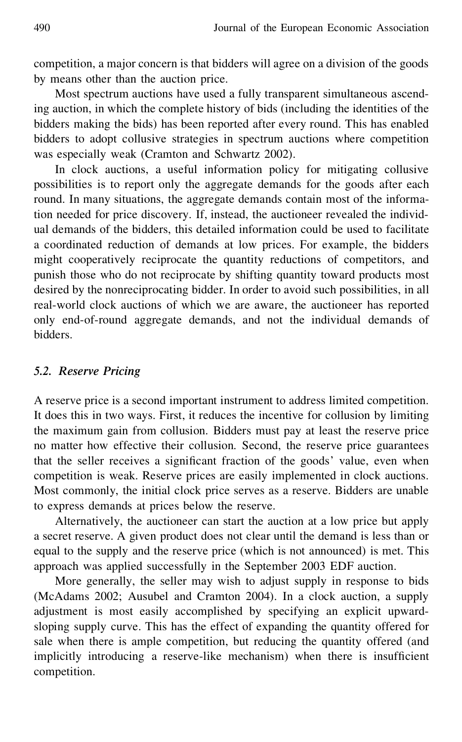competition, a major concern is that bidders will agree on a division of the goods by means other than the auction price.

Most spectrum auctions have used a fully transparent simultaneous ascending auction, in which the complete history of bids (including the identities of the bidders making the bids) has been reported after every round. This has enabled bidders to adopt collusive strategies in spectrum auctions where competition was especially weak (Cramton and Schwartz 2002).

In clock auctions, a useful information policy for mitigating collusive possibilities is to report only the aggregate demands for the goods after each round. In many situations, the aggregate demands contain most of the information needed for price discovery. If, instead, the auctioneer revealed the individual demands of the bidders, this detailed information could be used to facilitate a coordinated reduction of demands at low prices. For example, the bidders might cooperatively reciprocate the quantity reductions of competitors, and punish those who do not reciprocate by shifting quantity toward products most desired by the nonreciprocating bidder. In order to avoid such possibilities, in all real-world clock auctions of which we are aware, the auctioneer has reported only end-of-round aggregate demands, and not the individual demands of bidders.

### *5.2. Reserve Pricing*

A reserve price is a second important instrument to address limited competition. It does this in two ways. First, it reduces the incentive for collusion by limiting the maximum gain from collusion. Bidders must pay at least the reserve price no matter how effective their collusion. Second, the reserve price guarantees that the seller receives a significant fraction of the goods' value, even when competition is weak. Reserve prices are easily implemented in clock auctions. Most commonly, the initial clock price serves as a reserve. Bidders are unable to express demands at prices below the reserve.

Alternatively, the auctioneer can start the auction at a low price but apply a secret reserve. A given product does not clear until the demand is less than or equal to the supply and the reserve price (which is not announced) is met. This approach was applied successfully in the September 2003 EDF auction.

More generally, the seller may wish to adjust supply in response to bids (McAdams 2002; Ausubel and Cramton 2004). In a clock auction, a supply adjustment is most easily accomplished by specifying an explicit upwardsloping supply curve. This has the effect of expanding the quantity offered for sale when there is ample competition, but reducing the quantity offered (and implicitly introducing a reserve-like mechanism) when there is insufficient competition.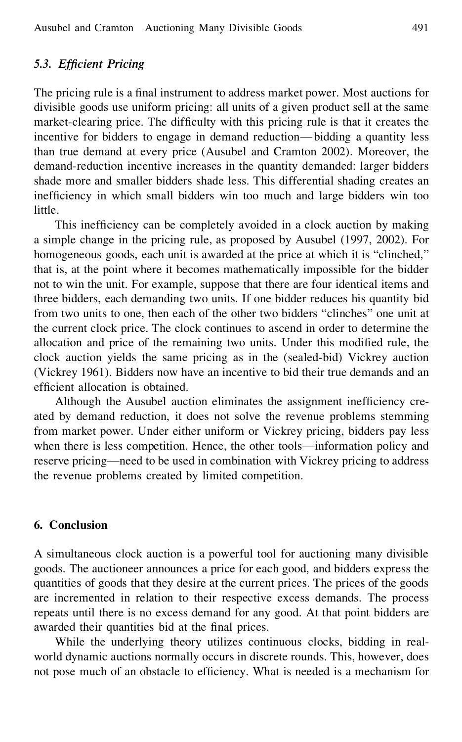## *5.3. Efcient Pricing*

The pricing rule is a final instrument to address market power. Most auctions for divisible goods use uniform pricing: all units of a given product sell at the same market-clearing price. The difficulty with this pricing rule is that it creates the incentive for bidders to engage in demand reduction—bidding a quantity less than true demand at every price (Ausubel and Cramton 2002). Moreover, the demand-reduction incentive increases in the quantity demanded: larger bidders shade more and smaller bidders shade less. This differential shading creates an inefficiency in which small bidders win too much and large bidders win too little.

This inefficiency can be completely avoided in a clock auction by making a simple change in the pricing rule, as proposed by Ausubel (1997, 2002). For homogeneous goods, each unit is awarded at the price at which it is "clinched," that is, at the point where it becomes mathematically impossible for the bidder not to win the unit. For example, suppose that there are four identical items and three bidders, each demanding two units. If one bidder reduces his quantity bid from two units to one, then each of the other two bidders "clinches" one unit at the current clock price. The clock continues to ascend in order to determine the allocation and price of the remaining two units. Under this modified rule, the clock auction yields the same pricing as in the (sealed-bid) Vickrey auction (Vickrey 1961). Bidders now have an incentive to bid their true demands and an efficient allocation is obtained.

Although the Ausubel auction eliminates the assignment inefficiency created by demand reduction, it does not solve the revenue problems stemming from market power. Under either uniform or Vickrey pricing, bidders pay less when there is less competition. Hence, the other tools—information policy and reserve pricing—need to be used in combination with Vickrey pricing to address the revenue problems created by limited competition.

## **6. Conclusion**

A simultaneous clock auction is a powerful tool for auctioning many divisible goods. The auctioneer announces a price for each good, and bidders express the quantities of goods that they desire at the current prices. The prices of the goods are incremented in relation to their respective excess demands. The process repeats until there is no excess demand for any good. At that point bidders are awarded their quantities bid at the final prices.

While the underlying theory utilizes continuous clocks, bidding in realworld dynamic auctions normally occurs in discrete rounds. This, however, does not pose much of an obstacle to efficiency. What is needed is a mechanism for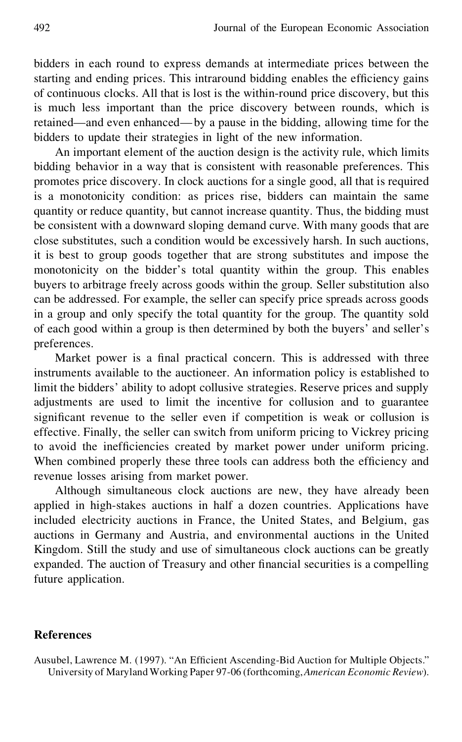bidders in each round to express demands at intermediate prices between the starting and ending prices. This intraround bidding enables the efficiency gains of continuous clocks. All that is lost is the within-round price discovery, but this is much less important than the price discovery between rounds, which is retained—and even enhanced—by a pause in the bidding, allowing time for the bidders to update their strategies in light of the new information.

An important element of the auction design is the activity rule, which limits bidding behavior in a way that is consistent with reasonable preferences. This promotes price discovery. In clock auctions for a single good, all that is required is a monotonicity condition: as prices rise, bidders can maintain the same quantity or reduce quantity, but cannot increase quantity. Thus, the bidding must be consistent with a downward sloping demand curve. With many goods that are close substitutes, such a condition would be excessively harsh. In such auctions, it is best to group goods together that are strong substitutes and impose the monotonicity on the bidder's total quantity within the group. This enables buyers to arbitrage freely across goods within the group. Seller substitution also can be addressed. For example, the seller can specify price spreads across goods in a group and only specify the total quantity for the group. The quantity sold of each good within a group is then determined by both the buyers' and seller's preferences.

Market power is a final practical concern. This is addressed with three instruments available to the auctioneer. An information policy is established to limit the bidders' ability to adopt collusive strategies. Reserve prices and supply adjustments are used to limit the incentive for collusion and to guarantee significant revenue to the seller even if competition is weak or collusion is effective. Finally, the seller can switch from uniform pricing to Vickrey pricing to avoid the inefficiencies created by market power under uniform pricing. When combined properly these three tools can address both the efficiency and revenue losses arising from market power.

Although simultaneous clock auctions are new, they have already been applied in high-stakes auctions in half a dozen countries. Applications have included electricity auctions in France, the United States, and Belgium, gas auctions in Germany and Austria, and environmental auctions in the United Kingdom. Still the study and use of simultaneous clock auctions can be greatly expanded. The auction of Treasury and other financial securities is a compelling future application.

#### **References**

Ausubel, Lawrence M. (1997). "An Efficient Ascending-Bid Auction for Multiple Objects." University of Maryland Working Paper 97-06 (forthcoming,*American Economic Review*).